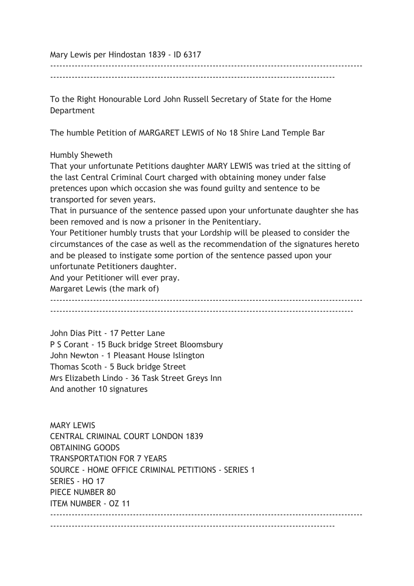Mary Lewis per Hindostan 1839 - ID 6317

------------------------------------------------------------------------------------------------------

---------------------------------------------------------------------------------------------

To the Right Honourable Lord John Russell Secretary of State for the Home Department

The humble Petition of MARGARET LEWIS of No 18 Shire Land Temple Bar

Humbly Sheweth

That your unfortunate Petitions daughter MARY LEWIS was tried at the sitting of the last Central Criminal Court charged with obtaining money under false pretences upon which occasion she was found guilty and sentence to be transported for seven years.

That in pursuance of the sentence passed upon your unfortunate daughter she has been removed and is now a prisoner in the Penitentiary.

Your Petitioner humbly trusts that your Lordship will be pleased to consider the circumstances of the case as well as the recommendation of the signatures hereto and be pleased to instigate some portion of the sentence passed upon your unfortunate Petitioners daughter.

And your Petitioner will ever pray.

Margaret Lewis (the mark of)

------------------------------------------------------------------------------------------------------ ---------------------------------------------------------------------------------------------------

John Dias Pitt - 17 Petter Lane P S Corant - 15 Buck bridge Street Bloomsbury John Newton - 1 Pleasant House Islington Thomas Scoth - 5 Buck bridge Street Mrs Elizabeth Lindo - 36 Task Street Greys Inn And another 10 signatures

**MARY LEWIS** CENTRAL CRIMINAL COURT LONDON 1839 OBTAINING GOODS TRANSPORTATION FOR 7 YEARS SOURCE - HOME OFFICE CRIMINAL PETITIONS - SERIES 1 SERIES - HO 17 PIECE NUMBER 80 ITEM NUMBER - OZ 11 ------------------------------------------------------------------------------------------------------ ---------------------------------------------------------------------------------------------